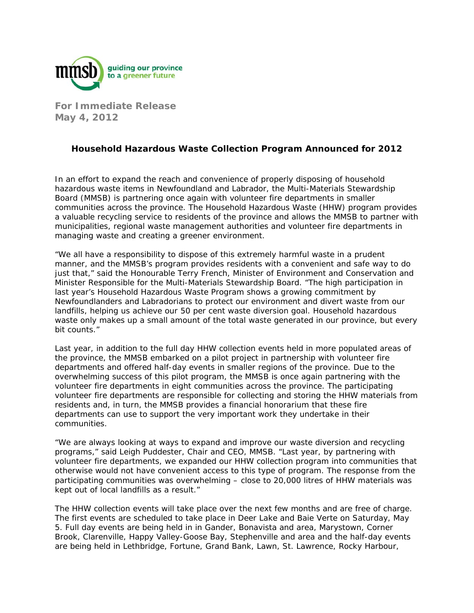

**For Immediate Release May 4, 2012** 

## **Household Hazardous Waste Collection Program Announced for 2012**

In an effort to expand the reach and convenience of properly disposing of household hazardous waste items in Newfoundland and Labrador, the Multi-Materials Stewardship Board (MMSB) is partnering once again with volunteer fire departments in smaller communities across the province. The Household Hazardous Waste (HHW) program provides a valuable recycling service to residents of the province and allows the MMSB to partner with municipalities, regional waste management authorities and volunteer fire departments in managing waste and creating a greener environment.

"We all have a responsibility to dispose of this extremely harmful waste in a prudent manner, and the MMSB's program provides residents with a convenient and safe way to do just that," said the Honourable Terry French, Minister of Environment and Conservation and Minister Responsible for the Multi-Materials Stewardship Board. "The high participation in last year's Household Hazardous Waste Program shows a growing commitment by Newfoundlanders and Labradorians to protect our environment and divert waste from our landfills, helping us achieve our 50 per cent waste diversion goal. Household hazardous waste only makes up a small amount of the total waste generated in our province, but every bit counts."

Last year, in addition to the full day HHW collection events held in more populated areas of the province, the MMSB embarked on a pilot project in partnership with volunteer fire departments and offered half-day events in smaller regions of the province. Due to the overwhelming success of this pilot program, the MMSB is once again partnering with the volunteer fire departments in eight communities across the province. The participating volunteer fire departments are responsible for collecting and storing the HHW materials from residents and, in turn, the MMSB provides a financial honorarium that these fire departments can use to support the very important work they undertake in their communities.

"We are always looking at ways to expand and improve our waste diversion and recycling programs," said Leigh Puddester, Chair and CEO, MMSB. "Last year, by partnering with volunteer fire departments, we expanded our HHW collection program into communities that otherwise would not have convenient access to this type of program. The response from the participating communities was overwhelming – close to 20,000 litres of HHW materials was kept out of local landfills as a result."

The HHW collection events will take place over the next few months and are free of charge. The first events are scheduled to take place in Deer Lake and Baie Verte on Saturday, May 5. Full day events are being held in in Gander, Bonavista and area, Marystown, Corner Brook, Clarenville, Happy Valley-Goose Bay, Stephenville and area and the half-day events are being held in Lethbridge, Fortune, Grand Bank, Lawn, St. Lawrence, Rocky Harbour,